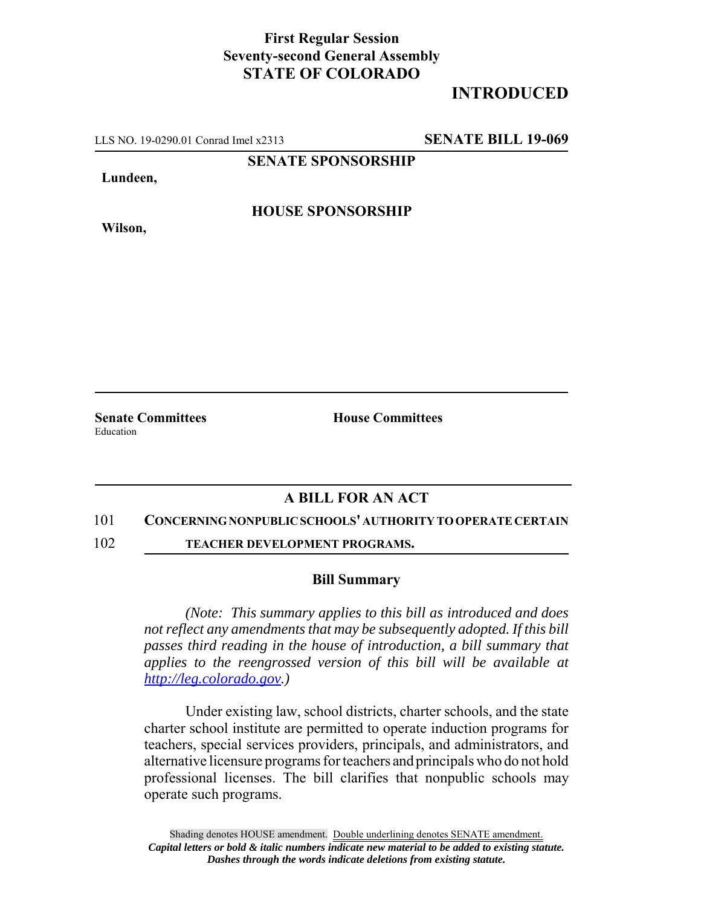## **First Regular Session Seventy-second General Assembly STATE OF COLORADO**

# **INTRODUCED**

LLS NO. 19-0290.01 Conrad Imel x2313 **SENATE BILL 19-069**

**SENATE SPONSORSHIP**

**Lundeen,**

**Wilson,**

**HOUSE SPONSORSHIP**

**Senate Committees House Committees** 

Education

## **A BILL FOR AN ACT**

#### 101 **CONCERNING NONPUBLIC SCHOOLS' AUTHORITY TO OPERATE CERTAIN**

102 **TEACHER DEVELOPMENT PROGRAMS.**

### **Bill Summary**

*(Note: This summary applies to this bill as introduced and does not reflect any amendments that may be subsequently adopted. If this bill passes third reading in the house of introduction, a bill summary that applies to the reengrossed version of this bill will be available at http://leg.colorado.gov.)*

Under existing law, school districts, charter schools, and the state charter school institute are permitted to operate induction programs for teachers, special services providers, principals, and administrators, and alternative licensure programs for teachers and principals who do not hold professional licenses. The bill clarifies that nonpublic schools may operate such programs.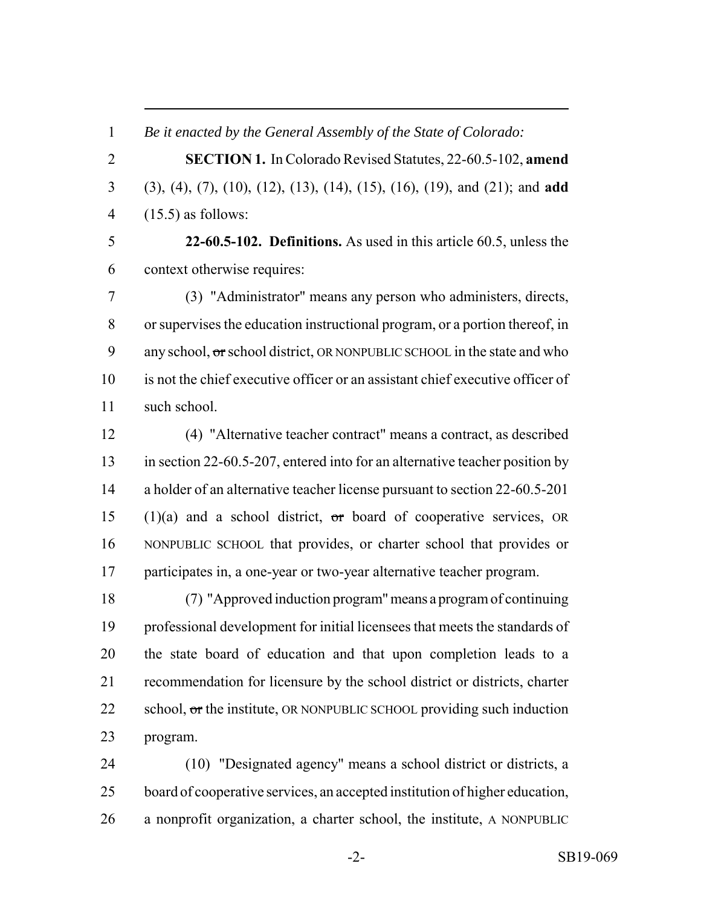*Be it enacted by the General Assembly of the State of Colorado:*

 **SECTION 1.** In Colorado Revised Statutes, 22-60.5-102, **amend** (3), (4), (7), (10), (12), (13), (14), (15), (16), (19), and (21); and **add** (15.5) as follows:

 **22-60.5-102. Definitions.** As used in this article 60.5, unless the context otherwise requires:

 (3) "Administrator" means any person who administers, directs, or supervises the education instructional program, or a portion thereof, in 9 any school, or school district, OR NONPUBLIC SCHOOL in the state and who is not the chief executive officer or an assistant chief executive officer of such school.

 (4) "Alternative teacher contract" means a contract, as described in section 22-60.5-207, entered into for an alternative teacher position by a holder of an alternative teacher license pursuant to section 22-60.5-201 15 (1)(a) and a school district,  $\sigma$ r board of cooperative services, OR NONPUBLIC SCHOOL that provides, or charter school that provides or participates in, a one-year or two-year alternative teacher program.

 (7) "Approved induction program" means a program of continuing professional development for initial licensees that meets the standards of the state board of education and that upon completion leads to a recommendation for licensure by the school district or districts, charter 22 school,  $\sigma$ r the institute, OR NONPUBLIC SCHOOL providing such induction program.

 (10) "Designated agency" means a school district or districts, a board of cooperative services, an accepted institution of higher education, a nonprofit organization, a charter school, the institute, A NONPUBLIC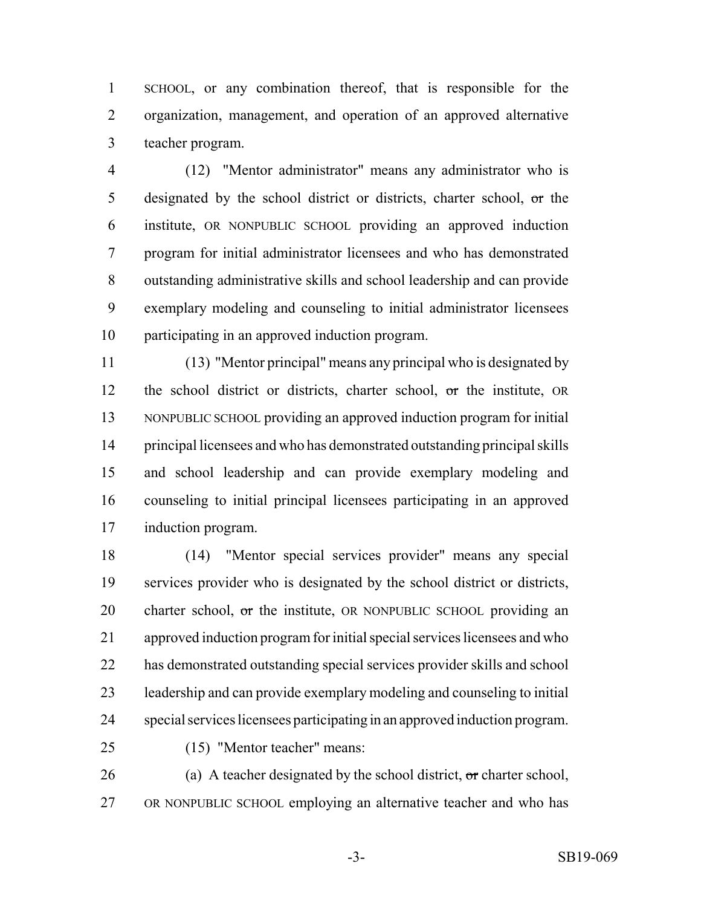SCHOOL, or any combination thereof, that is responsible for the organization, management, and operation of an approved alternative teacher program.

 (12) "Mentor administrator" means any administrator who is 5 designated by the school district or districts, charter school,  $\sigma$ r the institute, OR NONPUBLIC SCHOOL providing an approved induction program for initial administrator licensees and who has demonstrated outstanding administrative skills and school leadership and can provide exemplary modeling and counseling to initial administrator licensees participating in an approved induction program.

 (13) "Mentor principal" means any principal who is designated by 12 the school district or districts, charter school, or the institute, OR NONPUBLIC SCHOOL providing an approved induction program for initial principal licensees and who has demonstrated outstanding principal skills and school leadership and can provide exemplary modeling and counseling to initial principal licensees participating in an approved induction program.

 (14) "Mentor special services provider" means any special services provider who is designated by the school district or districts, 20 charter school, or the institute, OR NONPUBLIC SCHOOL providing an approved induction program for initial special services licensees and who has demonstrated outstanding special services provider skills and school leadership and can provide exemplary modeling and counseling to initial special services licensees participating in an approved induction program.

(15) "Mentor teacher" means:

26 (a) A teacher designated by the school district,  $\sigma$  charter school, OR NONPUBLIC SCHOOL employing an alternative teacher and who has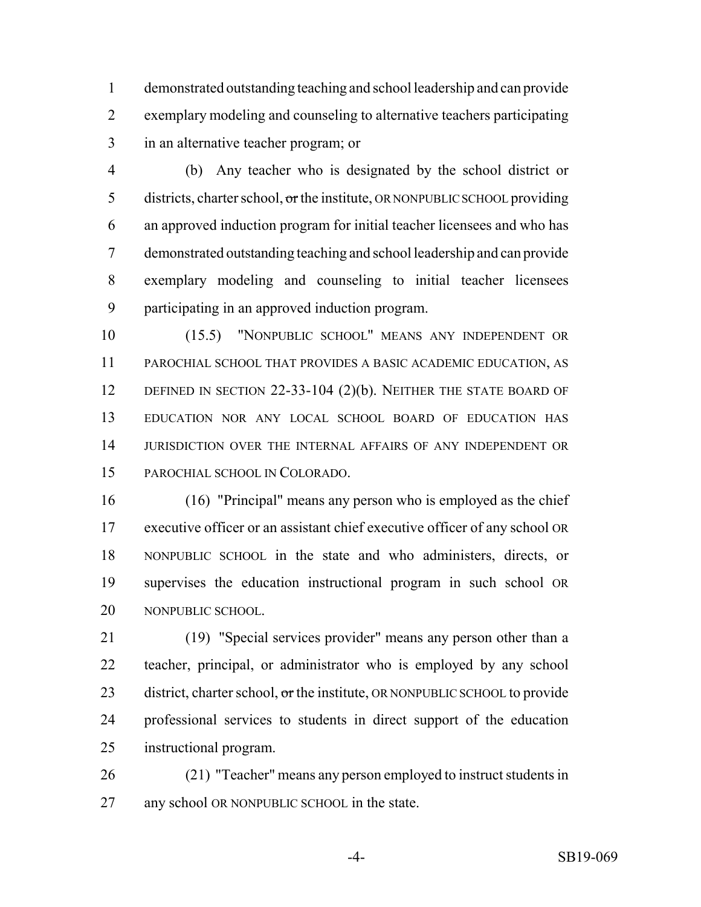demonstrated outstanding teaching and school leadership and can provide exemplary modeling and counseling to alternative teachers participating in an alternative teacher program; or

 (b) Any teacher who is designated by the school district or 5 districts, charter school, or the institute, OR NONPUBLIC SCHOOL providing an approved induction program for initial teacher licensees and who has demonstrated outstanding teaching and school leadership and can provide exemplary modeling and counseling to initial teacher licensees participating in an approved induction program.

 (15.5) "NONPUBLIC SCHOOL" MEANS ANY INDEPENDENT OR PAROCHIAL SCHOOL THAT PROVIDES A BASIC ACADEMIC EDUCATION, AS 12 DEFINED IN SECTION 22-33-104 (2)(b). NEITHER THE STATE BOARD OF EDUCATION NOR ANY LOCAL SCHOOL BOARD OF EDUCATION HAS JURISDICTION OVER THE INTERNAL AFFAIRS OF ANY INDEPENDENT OR PAROCHIAL SCHOOL IN COLORADO.

 (16) "Principal" means any person who is employed as the chief executive officer or an assistant chief executive officer of any school OR NONPUBLIC SCHOOL in the state and who administers, directs, or supervises the education instructional program in such school OR NONPUBLIC SCHOOL.

 (19) "Special services provider" means any person other than a teacher, principal, or administrator who is employed by any school 23 district, charter school,  $\sigma$ r the institute, OR NONPUBLIC SCHOOL to provide professional services to students in direct support of the education instructional program.

 (21) "Teacher" means any person employed to instruct students in any school OR NONPUBLIC SCHOOL in the state.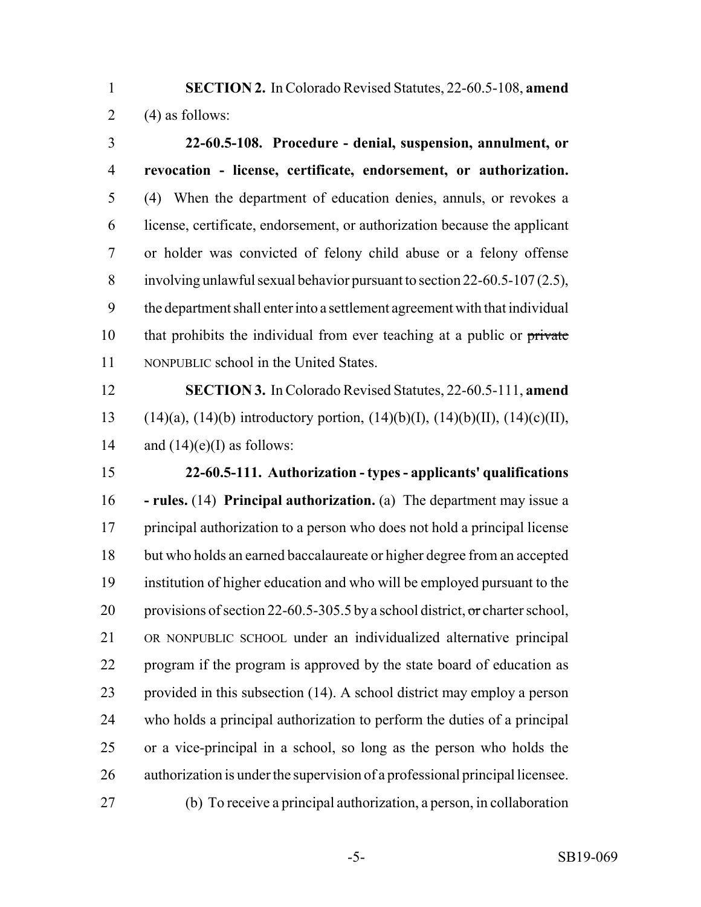**SECTION 2.** In Colorado Revised Statutes, 22-60.5-108, **amend** 2 (4) as follows:

 **22-60.5-108. Procedure - denial, suspension, annulment, or revocation - license, certificate, endorsement, or authorization.** (4) When the department of education denies, annuls, or revokes a license, certificate, endorsement, or authorization because the applicant or holder was convicted of felony child abuse or a felony offense involving unlawful sexual behavior pursuant to section 22-60.5-107 (2.5), the department shall enter into a settlement agreement with that individual 10 that prohibits the individual from ever teaching at a public or private NONPUBLIC school in the United States.

 **SECTION 3.** In Colorado Revised Statutes, 22-60.5-111, **amend** 13 (14)(a), (14)(b) introductory portion, (14)(b)(I), (14)(b)(II), (14)(c)(II), 14 and  $(14)(e)$ (I) as follows:

 **22-60.5-111. Authorization - types - applicants' qualifications - rules.** (14) **Principal authorization.** (a) The department may issue a principal authorization to a person who does not hold a principal license but who holds an earned baccalaureate or higher degree from an accepted institution of higher education and who will be employed pursuant to the 20 provisions of section 22-60.5-305.5 by a school district, or charter school, OR NONPUBLIC SCHOOL under an individualized alternative principal program if the program is approved by the state board of education as provided in this subsection (14). A school district may employ a person who holds a principal authorization to perform the duties of a principal or a vice-principal in a school, so long as the person who holds the authorization is under the supervision of a professional principal licensee. (b) To receive a principal authorization, a person, in collaboration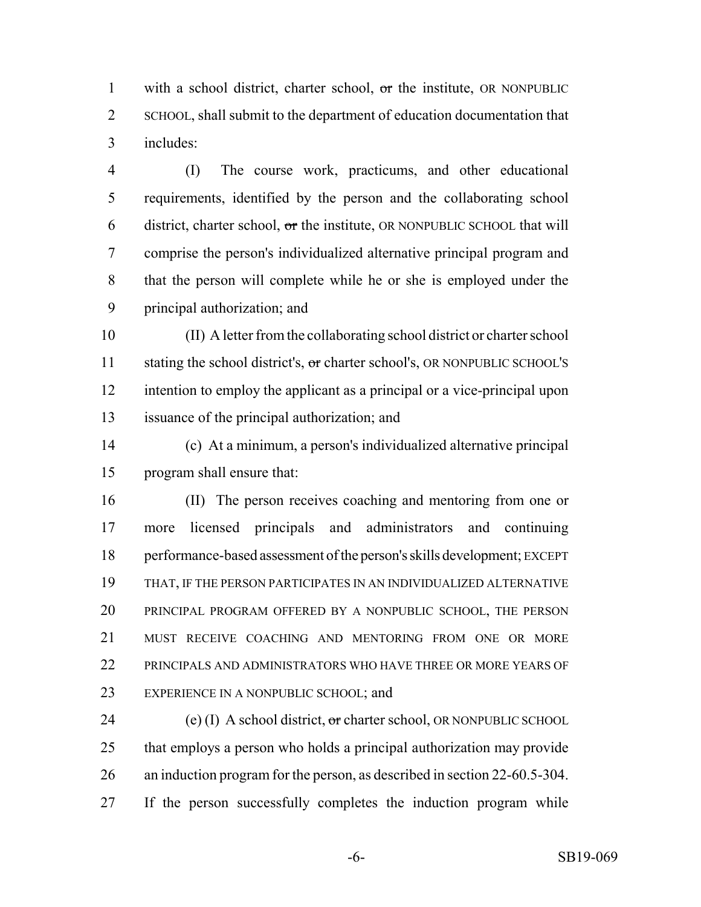1 with a school district, charter school, or the institute, OR NONPUBLIC SCHOOL, shall submit to the department of education documentation that includes:

 (I) The course work, practicums, and other educational requirements, identified by the person and the collaborating school 6 district, charter school,  $\sigma$ r the institute, OR NONPUBLIC SCHOOL that will comprise the person's individualized alternative principal program and that the person will complete while he or she is employed under the principal authorization; and

 (II) A letter from the collaborating school district or charter school 11 stating the school district's, or charter school's, OR NONPUBLIC SCHOOL'S intention to employ the applicant as a principal or a vice-principal upon issuance of the principal authorization; and

 (c) At a minimum, a person's individualized alternative principal program shall ensure that:

 (II) The person receives coaching and mentoring from one or more licensed principals and administrators and continuing performance-based assessment of the person's skills development; EXCEPT THAT, IF THE PERSON PARTICIPATES IN AN INDIVIDUALIZED ALTERNATIVE PRINCIPAL PROGRAM OFFERED BY A NONPUBLIC SCHOOL, THE PERSON MUST RECEIVE COACHING AND MENTORING FROM ONE OR MORE PRINCIPALS AND ADMINISTRATORS WHO HAVE THREE OR MORE YEARS OF EXPERIENCE IN A NONPUBLIC SCHOOL; and

24 (e) (I) A school district,  $\sigma$ r charter school, OR NONPUBLIC SCHOOL that employs a person who holds a principal authorization may provide an induction program for the person, as described in section 22-60.5-304. If the person successfully completes the induction program while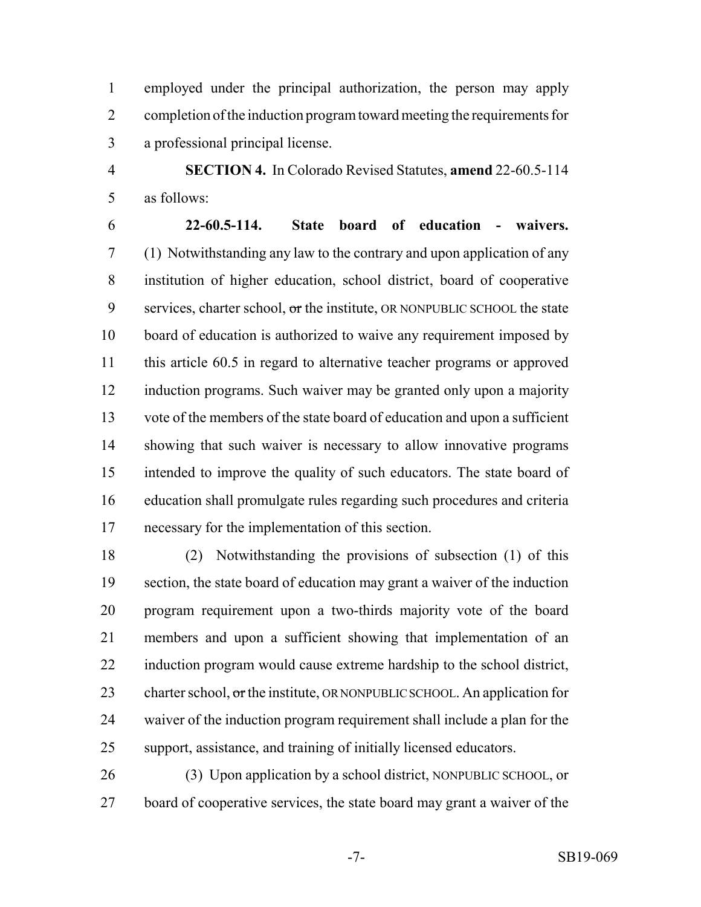employed under the principal authorization, the person may apply completion of the induction program toward meeting the requirements for a professional principal license.

 **SECTION 4.** In Colorado Revised Statutes, **amend** 22-60.5-114 as follows:

 **22-60.5-114. State board of education - waivers.** (1) Notwithstanding any law to the contrary and upon application of any institution of higher education, school district, board of cooperative 9 services, charter school,  $\sigma$ r the institute, OR NONPUBLIC SCHOOL the state board of education is authorized to waive any requirement imposed by this article 60.5 in regard to alternative teacher programs or approved induction programs. Such waiver may be granted only upon a majority vote of the members of the state board of education and upon a sufficient showing that such waiver is necessary to allow innovative programs intended to improve the quality of such educators. The state board of education shall promulgate rules regarding such procedures and criteria necessary for the implementation of this section.

 (2) Notwithstanding the provisions of subsection (1) of this section, the state board of education may grant a waiver of the induction program requirement upon a two-thirds majority vote of the board members and upon a sufficient showing that implementation of an induction program would cause extreme hardship to the school district, 23 charter school,  $\sigma$ r the institute, OR NONPUBLIC SCHOOL. An application for waiver of the induction program requirement shall include a plan for the support, assistance, and training of initially licensed educators.

 (3) Upon application by a school district, NONPUBLIC SCHOOL, or board of cooperative services, the state board may grant a waiver of the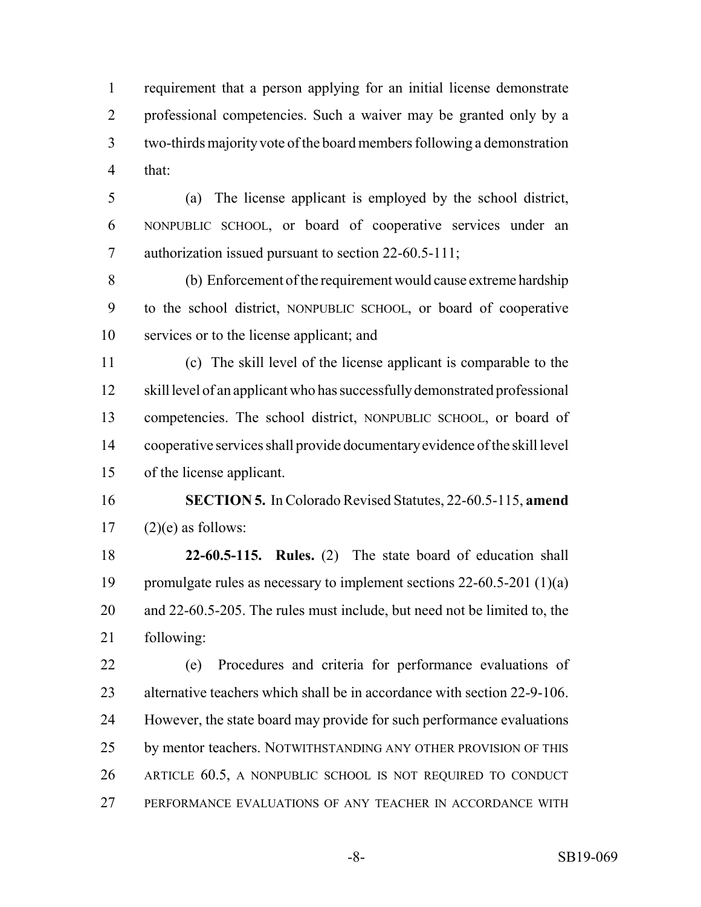requirement that a person applying for an initial license demonstrate professional competencies. Such a waiver may be granted only by a two-thirds majority vote of the board members following a demonstration that:

 (a) The license applicant is employed by the school district, NONPUBLIC SCHOOL, or board of cooperative services under an authorization issued pursuant to section 22-60.5-111;

 (b) Enforcement of the requirement would cause extreme hardship to the school district, NONPUBLIC SCHOOL, or board of cooperative services or to the license applicant; and

 (c) The skill level of the license applicant is comparable to the skill level of an applicant who has successfully demonstrated professional competencies. The school district, NONPUBLIC SCHOOL, or board of cooperative services shall provide documentary evidence of the skill level of the license applicant.

 **SECTION 5.** In Colorado Revised Statutes, 22-60.5-115, **amend**  $17 \qquad (2)(e)$  as follows:

 **22-60.5-115. Rules.** (2) The state board of education shall promulgate rules as necessary to implement sections 22-60.5-201 (1)(a) and 22-60.5-205. The rules must include, but need not be limited to, the following:

 (e) Procedures and criteria for performance evaluations of alternative teachers which shall be in accordance with section 22-9-106. However, the state board may provide for such performance evaluations by mentor teachers. NOTWITHSTANDING ANY OTHER PROVISION OF THIS ARTICLE 60.5, A NONPUBLIC SCHOOL IS NOT REQUIRED TO CONDUCT PERFORMANCE EVALUATIONS OF ANY TEACHER IN ACCORDANCE WITH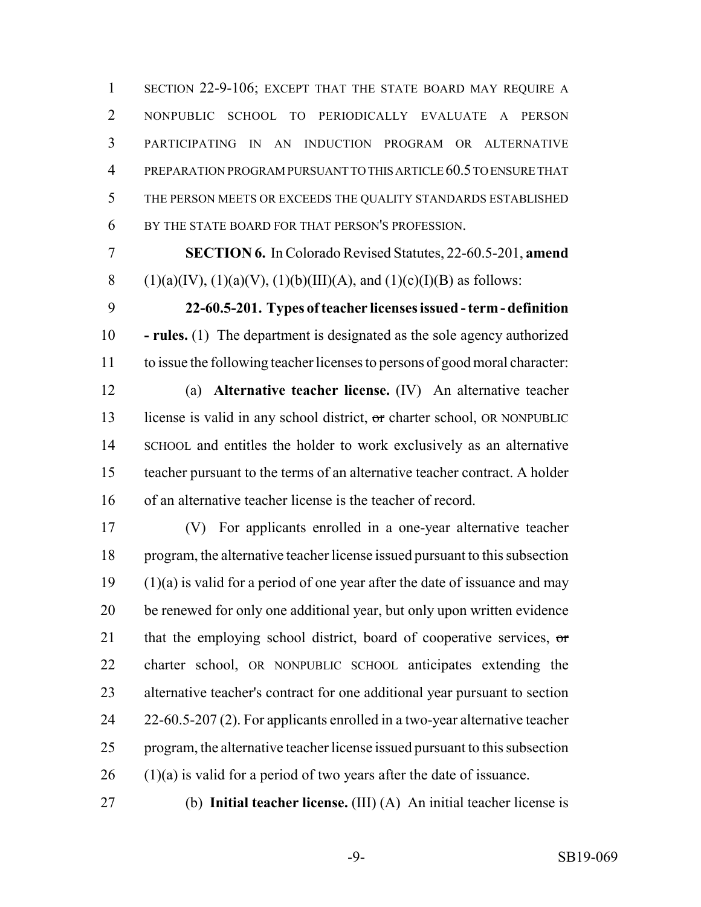1 SECTION 22-9-106; EXCEPT THAT THE STATE BOARD MAY REQUIRE A NONPUBLIC SCHOOL TO PERIODICALLY EVALUATE A PERSON PARTICIPATING IN AN INDUCTION PROGRAM OR ALTERNATIVE PREPARATION PROGRAM PURSUANT TO THIS ARTICLE 60.5 TO ENSURE THAT THE PERSON MEETS OR EXCEEDS THE QUALITY STANDARDS ESTABLISHED BY THE STATE BOARD FOR THAT PERSON'S PROFESSION.

 **SECTION 6.** In Colorado Revised Statutes, 22-60.5-201, **amend** 8 (1)(a)(IV), (1)(a)(V), (1)(b)(III)(A), and (1)(c)(I)(B) as follows:

 **22-60.5-201. Types of teacher licenses issued - term - definition - rules.** (1) The department is designated as the sole agency authorized to issue the following teacher licenses to persons of good moral character:

 (a) **Alternative teacher license.** (IV) An alternative teacher 13 license is valid in any school district, or charter school, OR NONPUBLIC SCHOOL and entitles the holder to work exclusively as an alternative teacher pursuant to the terms of an alternative teacher contract. A holder of an alternative teacher license is the teacher of record.

 (V) For applicants enrolled in a one-year alternative teacher program, the alternative teacher license issued pursuant to this subsection (1)(a) is valid for a period of one year after the date of issuance and may be renewed for only one additional year, but only upon written evidence 21 that the employing school district, board of cooperative services, or charter school, OR NONPUBLIC SCHOOL anticipates extending the alternative teacher's contract for one additional year pursuant to section 24 22-60.5-207 (2). For applicants enrolled in a two-year alternative teacher program, the alternative teacher license issued pursuant to this subsection (1)(a) is valid for a period of two years after the date of issuance.

(b) **Initial teacher license.** (III) (A) An initial teacher license is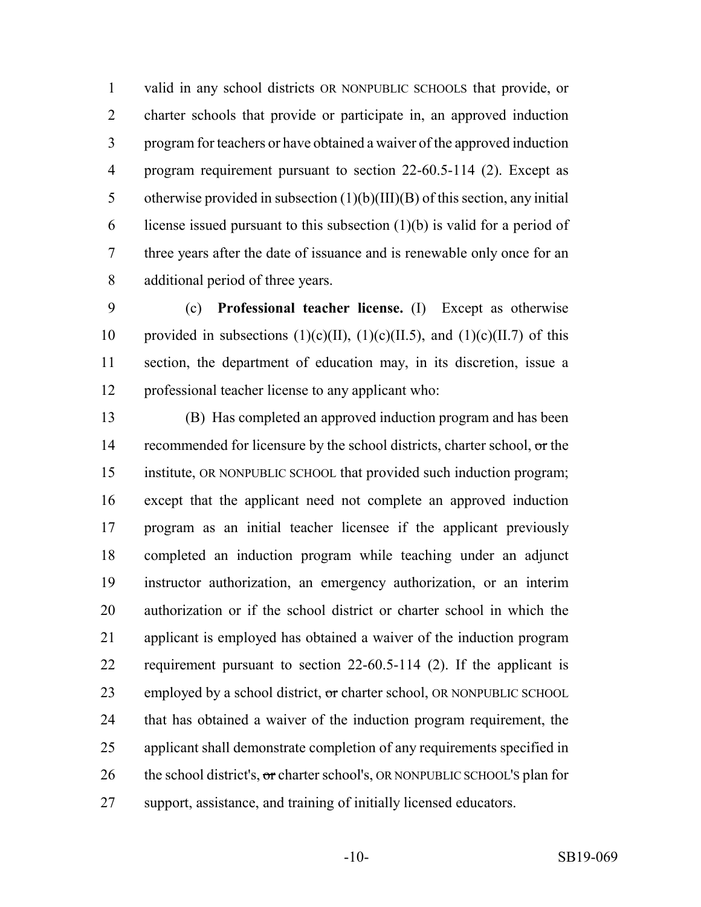valid in any school districts OR NONPUBLIC SCHOOLS that provide, or charter schools that provide or participate in, an approved induction program for teachers or have obtained a waiver of the approved induction program requirement pursuant to section 22-60.5-114 (2). Except as otherwise provided in subsection (1)(b)(III)(B) of this section, any initial 6 license issued pursuant to this subsection  $(1)(b)$  is valid for a period of three years after the date of issuance and is renewable only once for an additional period of three years.

 (c) **Professional teacher license.** (I) Except as otherwise 10 provided in subsections  $(1)(c)(II)$ ,  $(1)(c)(II.5)$ , and  $(1)(c)(II.7)$  of this section, the department of education may, in its discretion, issue a professional teacher license to any applicant who:

 (B) Has completed an approved induction program and has been 14 recommended for licensure by the school districts, charter school, or the institute, OR NONPUBLIC SCHOOL that provided such induction program; except that the applicant need not complete an approved induction program as an initial teacher licensee if the applicant previously completed an induction program while teaching under an adjunct instructor authorization, an emergency authorization, or an interim authorization or if the school district or charter school in which the applicant is employed has obtained a waiver of the induction program requirement pursuant to section 22-60.5-114 (2). If the applicant is 23 employed by a school district, or charter school, OR NONPUBLIC SCHOOL that has obtained a waiver of the induction program requirement, the applicant shall demonstrate completion of any requirements specified in 26 the school district's,  $\sigma$ r charter school's, OR NONPUBLIC SCHOOL'S plan for support, assistance, and training of initially licensed educators.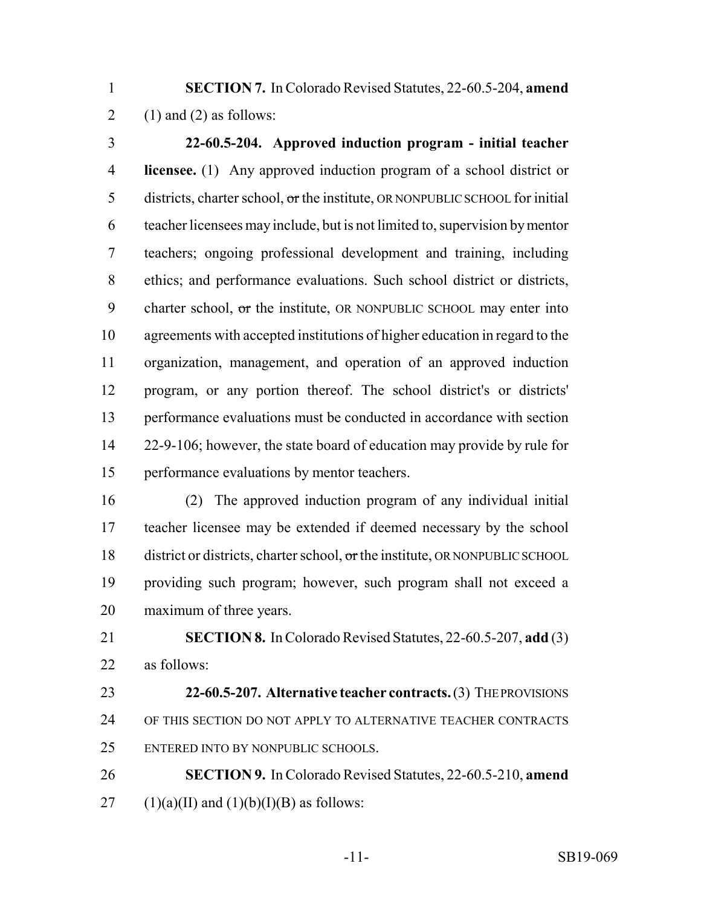**SECTION 7.** In Colorado Revised Statutes, 22-60.5-204, **amend** 2 (1) and (2) as follows:

 **22-60.5-204. Approved induction program - initial teacher licensee.** (1) Any approved induction program of a school district or districts, charter school, or the institute, OR NONPUBLIC SCHOOL for initial teacher licensees may include, but is not limited to, supervision by mentor teachers; ongoing professional development and training, including ethics; and performance evaluations. Such school district or districts, 9 charter school,  $\sigma$ r the institute, OR NONPUBLIC SCHOOL may enter into agreements with accepted institutions of higher education in regard to the organization, management, and operation of an approved induction program, or any portion thereof. The school district's or districts' performance evaluations must be conducted in accordance with section 22-9-106; however, the state board of education may provide by rule for performance evaluations by mentor teachers.

 (2) The approved induction program of any individual initial teacher licensee may be extended if deemed necessary by the school 18 district or districts, charter school, or the institute, OR NONPUBLIC SCHOOL providing such program; however, such program shall not exceed a maximum of three years.

 **SECTION 8.** In Colorado Revised Statutes, 22-60.5-207, **add** (3) as follows:

- **22-60.5-207. Alternative teacher contracts.** (3) THE PROVISIONS OF THIS SECTION DO NOT APPLY TO ALTERNATIVE TEACHER CONTRACTS ENTERED INTO BY NONPUBLIC SCHOOLS.
- **SECTION 9.** In Colorado Revised Statutes, 22-60.5-210, **amend** 27 (1)(a)(II) and (1)(b)(I)(B) as follows: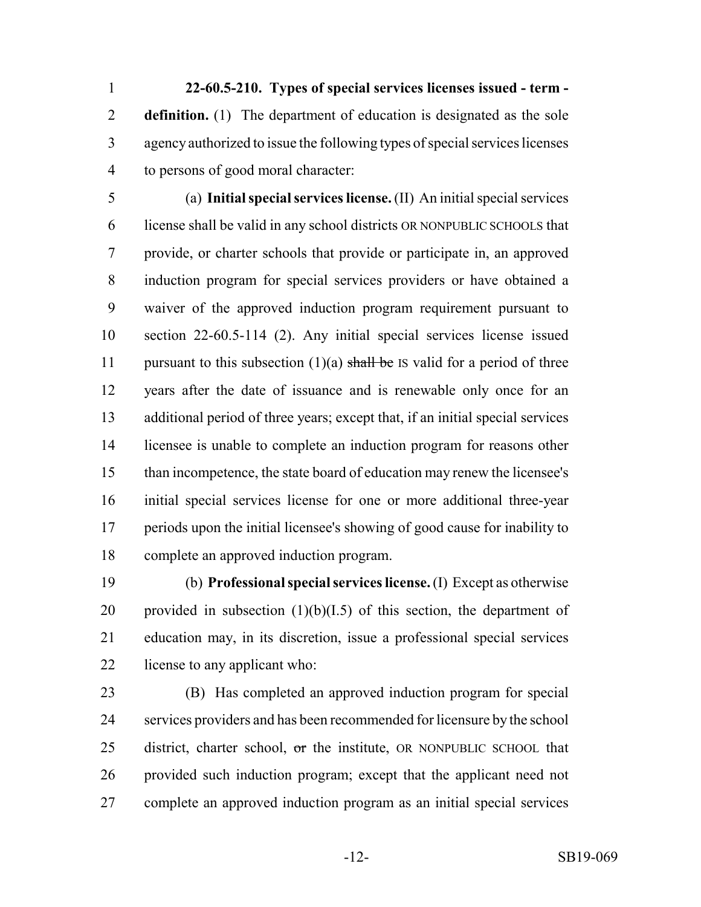**22-60.5-210. Types of special services licenses issued - term - definition.** (1) The department of education is designated as the sole agency authorized to issue the following types of special services licenses to persons of good moral character:

 (a) **Initial special services license.** (II) An initial special services license shall be valid in any school districts OR NONPUBLIC SCHOOLS that provide, or charter schools that provide or participate in, an approved induction program for special services providers or have obtained a waiver of the approved induction program requirement pursuant to section 22-60.5-114 (2). Any initial special services license issued 11 pursuant to this subsection  $(1)(a)$  shall be IS valid for a period of three years after the date of issuance and is renewable only once for an additional period of three years; except that, if an initial special services licensee is unable to complete an induction program for reasons other than incompetence, the state board of education may renew the licensee's initial special services license for one or more additional three-year periods upon the initial licensee's showing of good cause for inability to complete an approved induction program.

 (b) **Professional special services license.** (I) Except as otherwise 20 provided in subsection  $(1)(b)(I.5)$  of this section, the department of education may, in its discretion, issue a professional special services license to any applicant who:

 (B) Has completed an approved induction program for special services providers and has been recommended for licensure by the school 25 district, charter school, or the institute, OR NONPUBLIC SCHOOL that provided such induction program; except that the applicant need not complete an approved induction program as an initial special services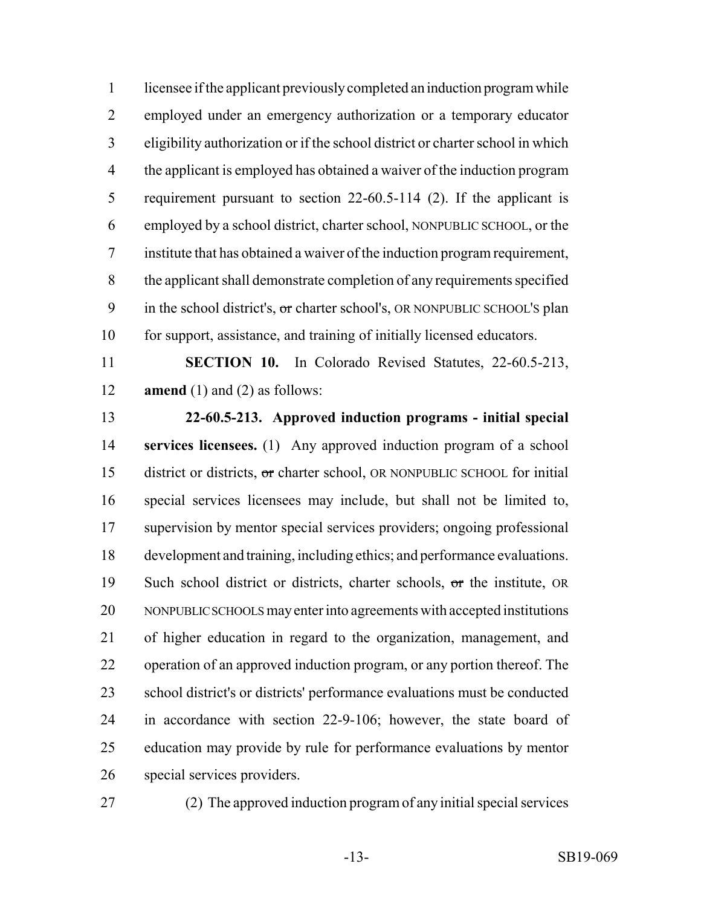licensee if the applicant previously completed an induction program while employed under an emergency authorization or a temporary educator eligibility authorization or if the school district or charter school in which the applicant is employed has obtained a waiver of the induction program requirement pursuant to section 22-60.5-114 (2). If the applicant is employed by a school district, charter school, NONPUBLIC SCHOOL, or the institute that has obtained a waiver of the induction program requirement, the applicant shall demonstrate completion of any requirements specified 9 in the school district's, or charter school's, OR NONPUBLIC SCHOOL'S plan for support, assistance, and training of initially licensed educators.

 **SECTION 10.** In Colorado Revised Statutes, 22-60.5-213, **amend** (1) and (2) as follows:

 **22-60.5-213. Approved induction programs - initial special services licensees.** (1) Any approved induction program of a school district or districts, or charter school, OR NONPUBLIC SCHOOL for initial special services licensees may include, but shall not be limited to, supervision by mentor special services providers; ongoing professional development and training, including ethics; and performance evaluations. 19 Such school district or districts, charter schools, or the institute, OR NONPUBLIC SCHOOLS may enter into agreements with accepted institutions of higher education in regard to the organization, management, and operation of an approved induction program, or any portion thereof. The school district's or districts' performance evaluations must be conducted in accordance with section 22-9-106; however, the state board of education may provide by rule for performance evaluations by mentor special services providers.

(2) The approved induction program of any initial special services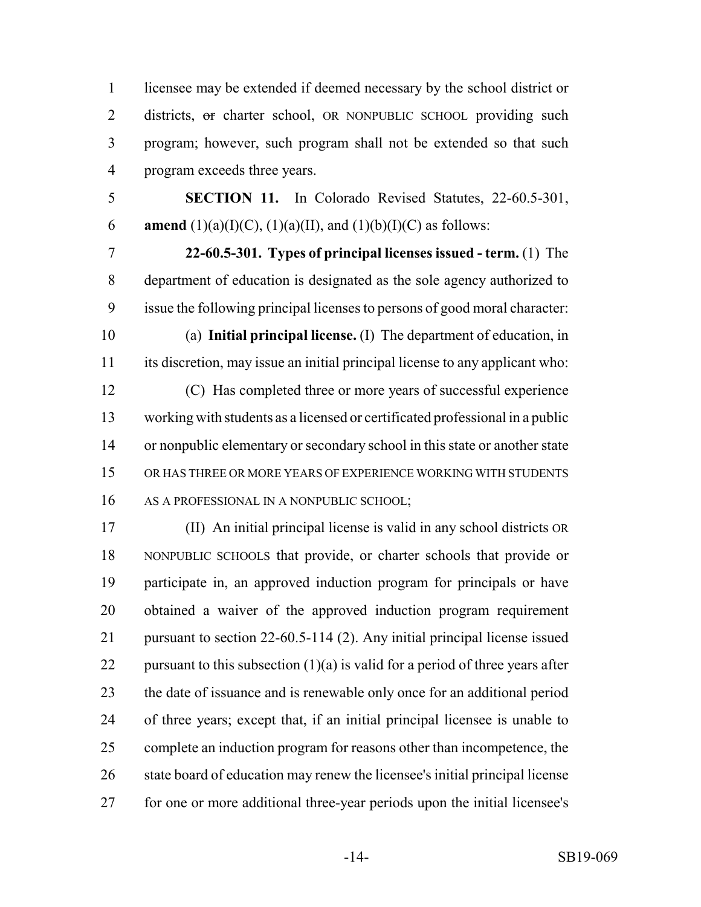licensee may be extended if deemed necessary by the school district or 2 districts, or charter school, OR NONPUBLIC SCHOOL providing such program; however, such program shall not be extended so that such program exceeds three years.

 **SECTION 11.** In Colorado Revised Statutes, 22-60.5-301, 6 **amend** (1)(a)(I)(C), (1)(a)(II), and (1)(b)(I)(C) as follows:

- **22-60.5-301. Types of principal licenses issued term.** (1) The department of education is designated as the sole agency authorized to issue the following principal licenses to persons of good moral character:
- 

 (a) **Initial principal license.** (I) The department of education, in its discretion, may issue an initial principal license to any applicant who:

 (C) Has completed three or more years of successful experience working with students as a licensed or certificated professional in a public or nonpublic elementary or secondary school in this state or another state OR HAS THREE OR MORE YEARS OF EXPERIENCE WORKING WITH STUDENTS 16 AS A PROFESSIONAL IN A NONPUBLIC SCHOOL;

 (II) An initial principal license is valid in any school districts OR NONPUBLIC SCHOOLS that provide, or charter schools that provide or participate in, an approved induction program for principals or have obtained a waiver of the approved induction program requirement pursuant to section 22-60.5-114 (2). Any initial principal license issued 22 pursuant to this subsection  $(1)(a)$  is valid for a period of three years after the date of issuance and is renewable only once for an additional period of three years; except that, if an initial principal licensee is unable to complete an induction program for reasons other than incompetence, the state board of education may renew the licensee's initial principal license for one or more additional three-year periods upon the initial licensee's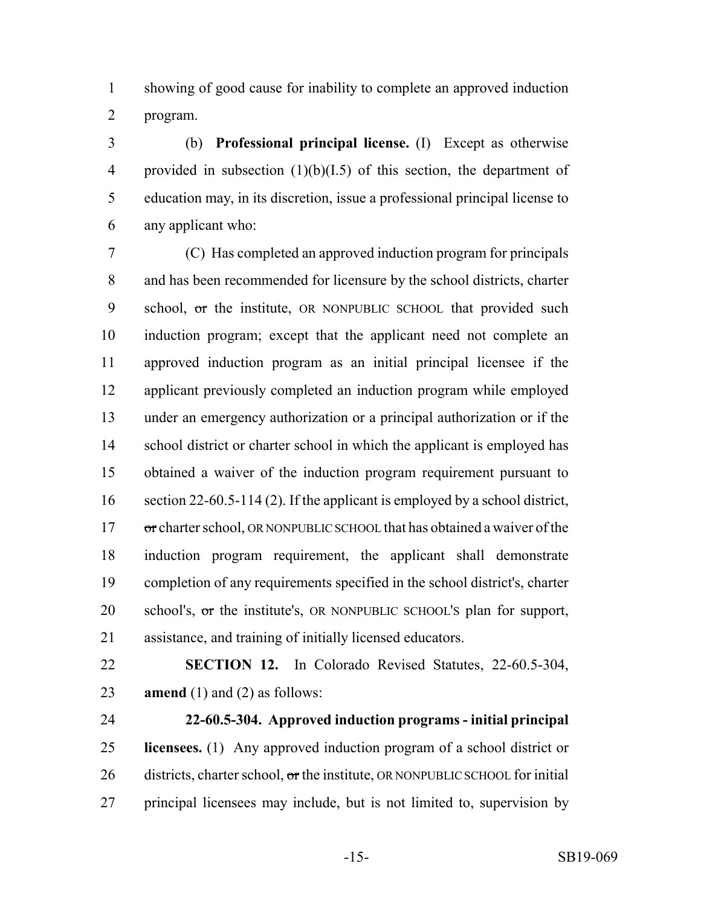showing of good cause for inability to complete an approved induction program.

 (b) **Professional principal license.** (I) Except as otherwise provided in subsection (1)(b)(I.5) of this section, the department of education may, in its discretion, issue a professional principal license to any applicant who:

 (C) Has completed an approved induction program for principals and has been recommended for licensure by the school districts, charter 9 school, or the institute, OR NONPUBLIC SCHOOL that provided such induction program; except that the applicant need not complete an approved induction program as an initial principal licensee if the applicant previously completed an induction program while employed under an emergency authorization or a principal authorization or if the 14 school district or charter school in which the applicant is employed has obtained a waiver of the induction program requirement pursuant to section 22-60.5-114 (2). If the applicant is employed by a school district, 17 or charter school, OR NONPUBLIC SCHOOL that has obtained a waiver of the induction program requirement, the applicant shall demonstrate completion of any requirements specified in the school district's, charter school's, or the institute's, OR NONPUBLIC SCHOOL'S plan for support, assistance, and training of initially licensed educators.

 **SECTION 12.** In Colorado Revised Statutes, 22-60.5-304, **amend** (1) and (2) as follows:

 **22-60.5-304. Approved induction programs - initial principal licensees.** (1) Any approved induction program of a school district or districts, charter school,  $\sigma$ r the institute, OR NONPUBLIC SCHOOL for initial principal licensees may include, but is not limited to, supervision by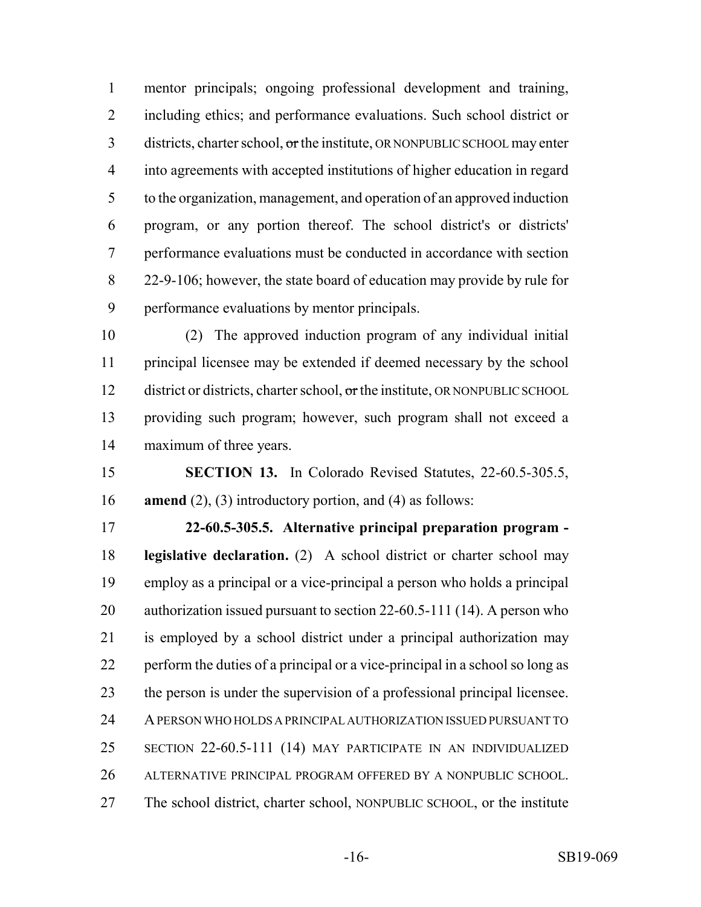mentor principals; ongoing professional development and training, including ethics; and performance evaluations. Such school district or 3 districts, charter school, or the institute, OR NONPUBLIC SCHOOL may enter into agreements with accepted institutions of higher education in regard to the organization, management, and operation of an approved induction program, or any portion thereof. The school district's or districts' performance evaluations must be conducted in accordance with section 22-9-106; however, the state board of education may provide by rule for performance evaluations by mentor principals.

 (2) The approved induction program of any individual initial principal licensee may be extended if deemed necessary by the school 12 district or districts, charter school, or the institute, OR NONPUBLIC SCHOOL providing such program; however, such program shall not exceed a maximum of three years.

 **SECTION 13.** In Colorado Revised Statutes, 22-60.5-305.5, **amend** (2), (3) introductory portion, and (4) as follows:

 **22-60.5-305.5. Alternative principal preparation program - legislative declaration.** (2) A school district or charter school may employ as a principal or a vice-principal a person who holds a principal authorization issued pursuant to section 22-60.5-111 (14). A person who is employed by a school district under a principal authorization may perform the duties of a principal or a vice-principal in a school so long as the person is under the supervision of a professional principal licensee. A PERSON WHO HOLDS A PRINCIPAL AUTHORIZATION ISSUED PURSUANT TO SECTION 22-60.5-111 (14) MAY PARTICIPATE IN AN INDIVIDUALIZED ALTERNATIVE PRINCIPAL PROGRAM OFFERED BY A NONPUBLIC SCHOOL. The school district, charter school, NONPUBLIC SCHOOL, or the institute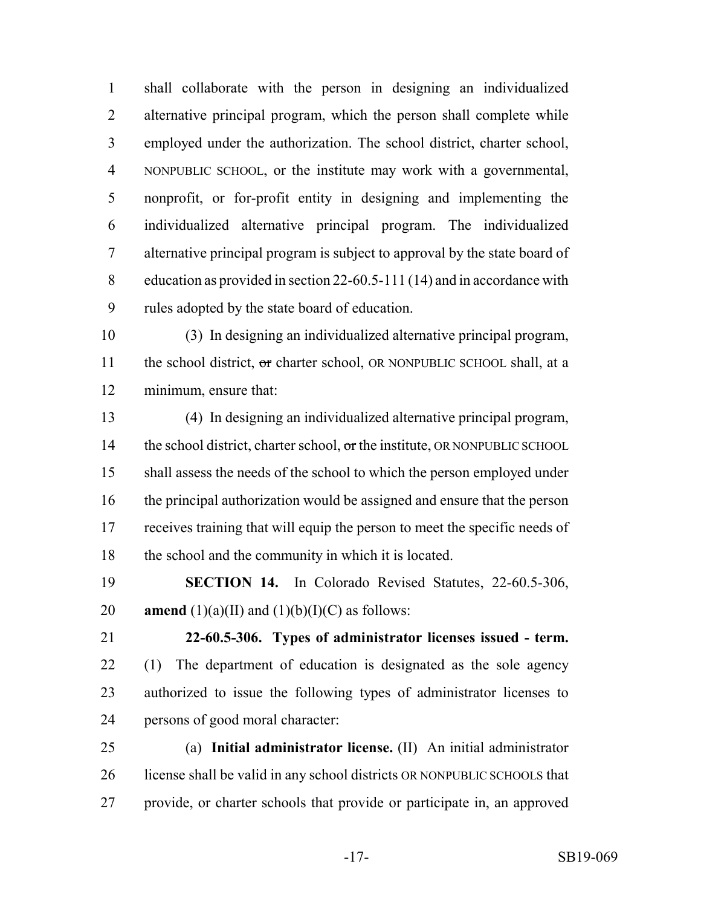shall collaborate with the person in designing an individualized alternative principal program, which the person shall complete while employed under the authorization. The school district, charter school, NONPUBLIC SCHOOL, or the institute may work with a governmental, nonprofit, or for-profit entity in designing and implementing the individualized alternative principal program. The individualized alternative principal program is subject to approval by the state board of education as provided in section 22-60.5-111 (14) and in accordance with rules adopted by the state board of education.

 (3) In designing an individualized alternative principal program, 11 the school district, or charter school, OR NONPUBLIC SCHOOL shall, at a minimum, ensure that:

 (4) In designing an individualized alternative principal program, 14 the school district, charter school, or the institute, OR NONPUBLIC SCHOOL shall assess the needs of the school to which the person employed under the principal authorization would be assigned and ensure that the person receives training that will equip the person to meet the specific needs of the school and the community in which it is located.

 **SECTION 14.** In Colorado Revised Statutes, 22-60.5-306, 20 **amend**  $(1)(a)(II)$  and  $(1)(b)(I)(C)$  as follows:

 **22-60.5-306. Types of administrator licenses issued - term.** (1) The department of education is designated as the sole agency authorized to issue the following types of administrator licenses to persons of good moral character:

 (a) **Initial administrator license.** (II) An initial administrator license shall be valid in any school districts OR NONPUBLIC SCHOOLS that provide, or charter schools that provide or participate in, an approved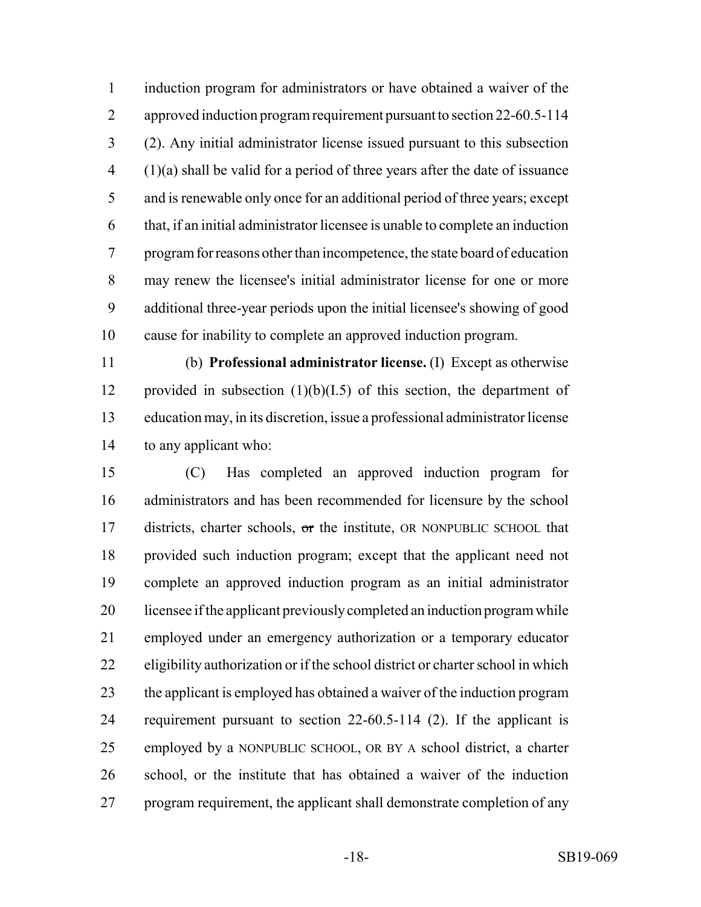induction program for administrators or have obtained a waiver of the approved induction program requirement pursuant to section 22-60.5-114 (2). Any initial administrator license issued pursuant to this subsection (1)(a) shall be valid for a period of three years after the date of issuance and is renewable only once for an additional period of three years; except that, if an initial administrator licensee is unable to complete an induction program for reasons other than incompetence, the state board of education may renew the licensee's initial administrator license for one or more additional three-year periods upon the initial licensee's showing of good cause for inability to complete an approved induction program.

 (b) **Professional administrator license.** (I) Except as otherwise 12 provided in subsection  $(1)(b)(I.5)$  of this section, the department of education may, in its discretion, issue a professional administrator license to any applicant who:

 (C) Has completed an approved induction program for administrators and has been recommended for licensure by the school 17 districts, charter schools, or the institute, OR NONPUBLIC SCHOOL that provided such induction program; except that the applicant need not complete an approved induction program as an initial administrator licensee if the applicant previously completed an induction program while employed under an emergency authorization or a temporary educator eligibility authorization or if the school district or charter school in which the applicant is employed has obtained a waiver of the induction program requirement pursuant to section 22-60.5-114 (2). If the applicant is employed by a NONPUBLIC SCHOOL, OR BY A school district, a charter school, or the institute that has obtained a waiver of the induction program requirement, the applicant shall demonstrate completion of any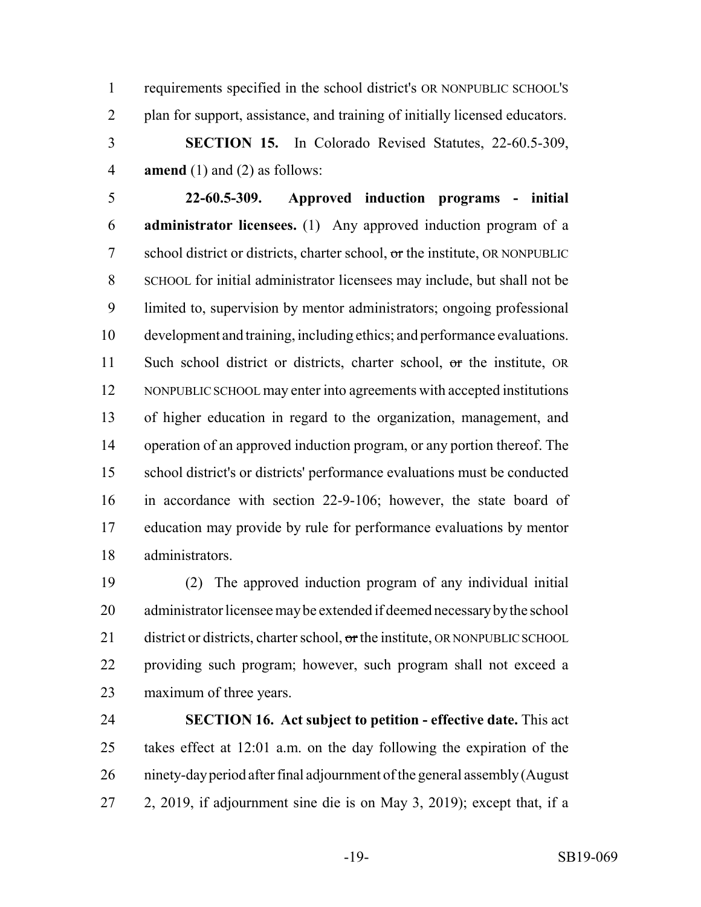requirements specified in the school district's OR NONPUBLIC SCHOOL'S plan for support, assistance, and training of initially licensed educators.

 **SECTION 15.** In Colorado Revised Statutes, 22-60.5-309, **amend** (1) and (2) as follows:

 **22-60.5-309. Approved induction programs - initial administrator licensees.** (1) Any approved induction program of a 7 school district or districts, charter school, or the institute, OR NONPUBLIC SCHOOL for initial administrator licensees may include, but shall not be limited to, supervision by mentor administrators; ongoing professional development and training, including ethics; and performance evaluations. 11 Such school district or districts, charter school, or the institute, OR 12 NONPUBLIC SCHOOL may enter into agreements with accepted institutions of higher education in regard to the organization, management, and operation of an approved induction program, or any portion thereof. The school district's or districts' performance evaluations must be conducted in accordance with section 22-9-106; however, the state board of education may provide by rule for performance evaluations by mentor administrators.

 (2) The approved induction program of any individual initial administrator licensee may be extended if deemed necessary by the school 21 district or districts, charter school,  $\sigma$ r the institute, OR NONPUBLIC SCHOOL providing such program; however, such program shall not exceed a maximum of three years.

 **SECTION 16. Act subject to petition - effective date.** This act takes effect at 12:01 a.m. on the day following the expiration of the ninety-day period after final adjournment of the general assembly (August 2, 2019, if adjournment sine die is on May 3, 2019); except that, if a